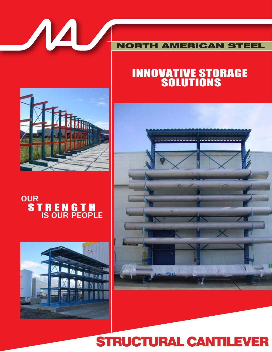

### NORTH AMERICAN STEEL

## INNOVATIVE STORAGE SOLUTIONS



### S T R E N G T H IS OUR PEOPLE **OUR**





# STRUCTURAL CANTILEVER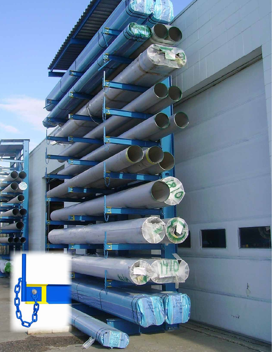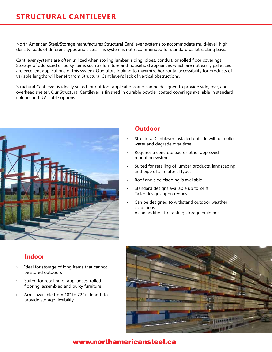North American Steel/Storage manufactures Structural Cantilever systems to accommodate multi-level, high density loads of different types and sizes. This system is not recommended for standard pallet racking bays.

Cantilever systems are often utilized when storing lumber, siding, pipes, conduit, or rolled floor coverings. Storage of odd sized or bulky items such as furniture and household appliances which are not easily palletized are excellent applications of this system. Operators looking to maximize horizontal accessibility for products of variable lengths will benefit from Structural Cantilever's lack of vertical obstructions.

Structural Cantilever is ideally suited for outdoor applications and can be designed to provide side, rear, and overhead shelter. Our Structural Cantilever is finished in durable powder coated coverings available in standard colours and UV stable options.



#### **Outdoor**

- › Structural Cantilever installed outside will not collect water and degrade over time
- Requires a concrete pad or other approved mounting system
- › Suited for retailing of lumber products, landscaping, and pipe of all material types
- › Roof and side cladding is available
- Standard designs available up to 24 ft. Taller designs upon request
- Can be designed to withstand outdoor weather conditions As an addition to existing storage buildings

#### **Indoor**

- Ideal for storage of long items that cannot be stored outdoors
- Suited for retailing of appliances, rolled flooring, assembled and bulky furniture
- Arms available from 18" to 72" in length to provide storage flexibility



#### www.northamericansteel.ca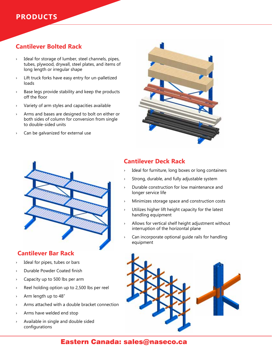### **Cantilever Bolted Rack**

- › Ideal for storage of lumber, steel channels, pipes, tubes, plywood, drywall, steel plates, and items of long length or irregular shape
- › Lift truck forks have easy entry for un-palletized loads
- › Base legs provide stability and keep the products off the floor
- › Variety of arm styles and capacities available
- Arms and bases are designed to bolt on either or both sides of column for conversion from single to double-sided units
- Can be galvanized for external use





#### **Cantilever Bar Rack**

- Ideal for pipes, tubes or bars
- Durable Powder Coated finish
- › Capacity up to 500 lbs per arm
- › Reel holding option up to 2,500 lbs per reel
- › Arm length up to 48"
- › Arms attached with a double bracket connection
- Arms have welded end stop
- Available in single and double sided configurations

#### **Cantilever Deck Rack**

- Ideal for furniture, long boxes or long containers
- Strong, durable, and fully adjustable system
- › Durable construction for low maintenance and longer service life
- Minimizes storage space and construction costs
- Utilizes higher lift height capacity for the latest handling equipment
- Allows for vertical shelf height adjustment without interruption of the horizontal plane
- Can incorporate optional guide rails for handling equipment



### Eastern Canada: sales@naseco.ca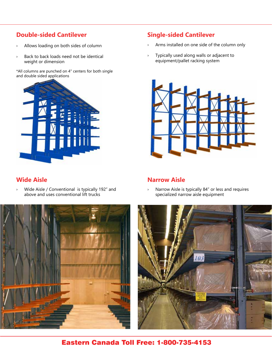#### **Double-sided Cantilever Single-sided Cantilever**

- › Allows loading on both sides of column
- › Back to back loads need not be identical weight or dimension

\*All columns are punched on 4" centers for both single and double sided applications



› Wide Aisle / Conventional is typically 192" and above and uses conventional lift trucks

- › Arms installed on one side of the column only
- › Typically used along walls or adjacent to equipment/pallet racking system



#### **Wide Aisle Narrow Aisle Narrow Aisle**

› Narrow Aisle is typically 84" or less and requires specialized narrow aisle equipment





### Eastern Canada Toll Free: 1-800-735-4153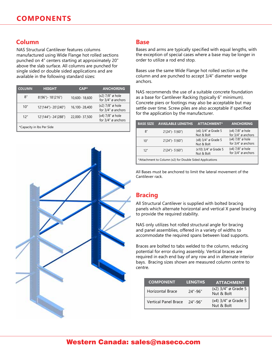#### **Column**

NAS Structural Cantilever features columns manufactured using Wide Flange hot rolled sections punched on 4" centers starting at approximately 20" above the slab surface. All columns are punched for single sided or double sided applications and are available in the following standard sizes:

| <b>COLUMN</b>             | <b>HEIGHT</b>           | $\mathsf{CAP}^*$ | <b>ANCHORING</b>                                   |  |
|---------------------------|-------------------------|------------------|----------------------------------------------------|--|
| 8''                       | $8'(96'') - 18'(216'')$ | 10,600-18,600    | $(x2)$ 7/8" $\alpha$ hole<br>for $3/4$ " ø anchors |  |
| 10"                       | 12'(144")-20'(240")     | 16,100-28,400    | (x2) 7/8" ø hole<br>for $3/4$ " ø anchors          |  |
| 12"                       | 12'(144")-24'(288")     | 22,000-37,500    | $(x4)$ 7/8" $\sigma$ hole<br>for $3/4$ " ø anchors |  |
| *Capacity in Ibs Per Side |                         |                  |                                                    |  |

#### **Base**

Bases and arms are typically specified with equal lengths, with the exception of special cases where a base may be longer in order to utilize a rod end stop.

Bases use the same Wide Flange hot rolled section as the column and are punched to accept 3/4" diameter wedge anchors.

NAS recommends the use of a suitable concrete foundation as a base for Cantilever Racking (typically 6" minimum). Concrete piers or footings may also be acceptable but may settle over time. Screw piles are also acceptable if specified for the application by the manufacturer.

| <b>BASE SIZE</b>                                         | <b>AVAILABLE LENGTHS</b> | <b>ATTACHMENT*</b>                 | <b>ANCHORING</b>                          |  |
|----------------------------------------------------------|--------------------------|------------------------------------|-------------------------------------------|--|
| 8''                                                      | $2'(24'') - 5'(60'')$    | (x6) 3/4" ø Grade 5<br>Nut & Bolt  | (x4) 7/8" ø hole<br>for $3/4$ " ø anchors |  |
| 10''                                                     | $2'(24'') - 5'(60'')$    | (x8) 3/4" ø Grade 5<br>Nut & Bolt  | (x4) 7/8" ø hole<br>for $3/4$ " ø anchors |  |
| 12"                                                      | $2'(24'') - 5'(60'')$    | (x10) 3/4" ø Grade 5<br>Nut & Bolt | (x4) 7/8" ø hole<br>for $3/4$ " ø anchors |  |
| *Attachment to Column (x2) for Double Sided Applications |                          |                                    |                                           |  |

All Bases must be anchored to limit the lateral movement of the Cantilever rack.

### **Bracing**

All Structural Cantilever is supplied with bolted bracing panels which alternate horizontal and vertical X panel bracing to provide the required stability.

NAS only utilizes hot rolled structural angle for bracing and panel assemblies, offered in a variety of widths to accommodate the required spans between load supports.

Braces are bolted to tabs welded to the column, reducing potential for error during assembly. Vertical braces are required in each end bay of any row and in alternate interior bays. Bracing sizes shown are measured column centre to centre.

| <b>COMPONENT</b>            | <b>LENGTHS</b> | <b>ATTACHMENT</b>            |
|-----------------------------|----------------|------------------------------|
| Horizontal Brace            | $24 - 96$      | $(x2)$ 3/4" $\alpha$ Grade 5 |
| <b>Vertical Panel Brace</b> | 24"-96"        | $(x4)$ 3/4" ø Grade 5        |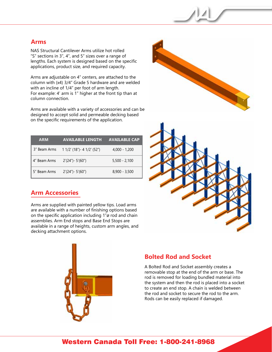#### **Arms**

NAS Structural Cantilever Arms utilize hot rolled "S" sections in 3", 4", and 5" sizes over a range of lengths. Each system is designed based on the specific applications, product size, and required capacity.

Arms are adjustable on 4" centers, are attached to the column with (x4) 3/4" Grade 5 hardware and are welded with an incline of 1/4" per foot of arm length. For example: 4' arm is 1" higher at the front tip than at column connection.

Arms are available with a variety of accessories and can be designed to accept solid and permeable decking based on the specific requirements of the application.

| <b>ARM</b>   | <b>AVAILABLE LENGTH</b>                  | <b>AVAILABLE CAP</b> |
|--------------|------------------------------------------|----------------------|
|              | 3" Beam Arms 1 1/2' (18") - 4 1/2' (52") | $4,000 - 1,200$      |
| 4" Beam Arms | $2'(24'') - 5'(60'')$                    | $5,500 - 2,100$      |
| 5" Beam Arms | $2'(24'') - 5'(60'')$                    | $8.900 - 3.500$      |

#### **Arm Accessories**

Arms are supplied with painted yellow tips. Load arms are available with a number of finishing options based on the specific application including 1"ø rod and chain assemblies. Arm End stops and Base End Stops are available in a range of heights, custom arm angles, and decking attachment options.





#### **Bolted Rod and Socket**

A Bolted Rod and Socket assembly creates a removable stop at the end of the arm or base. The rod is removed for loading bundled material into the system and then the rod is placed into a socket to create an end stop. A chain is welded between the rod and socket to secure the rod to the arm. Rods can be easily replaced if damaged.

#### Western Canada Toll Free: 1-800-241-8968